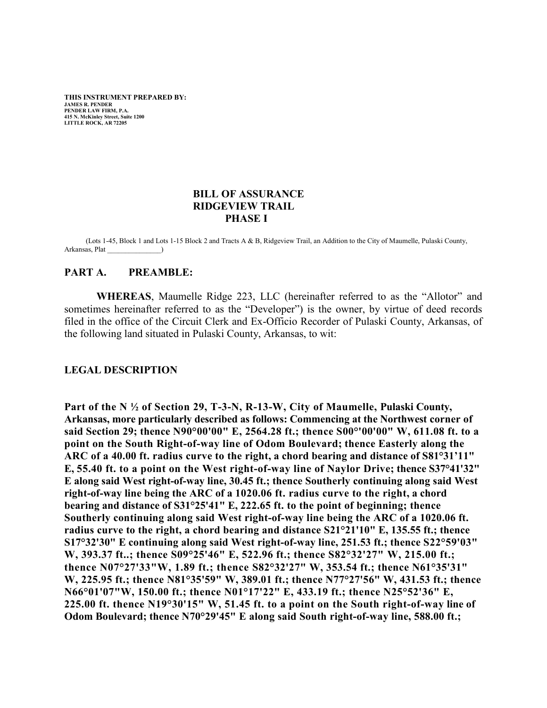**THIS INSTRUMENT PREPARED BY: JAMES R. PENDER PENDER LAW FIRM, P.A. 415 N. McKinley Street, Suite 1200 LITTLE ROCK, AR 72205**

#### **BILL OF ASSURANCE RIDGEVIEW TRAIL PHASE I**

 (Lots 1-45, Block 1 and Lots 1-15 Block 2 and Tracts A & B, Ridgeview Trail, an Addition to the City of Maumelle, Pulaski County, Arkansas, Plat \_\_\_\_\_\_\_\_\_\_\_\_\_\_\_)

#### **PART A. PREAMBLE:**

**WHEREAS**, Maumelle Ridge 223, LLC (hereinafter referred to as the "Allotor" and sometimes hereinafter referred to as the "Developer") is the owner, by virtue of deed records filed in the office of the Circuit Clerk and Ex-Officio Recorder of Pulaski County, Arkansas, of the following land situated in Pulaski County, Arkansas, to wit:

#### **LEGAL DESCRIPTION**

**Part of the N ½ of Section 29, T-3-N, R-13-W, City of Maumelle, Pulaski County, Arkansas, more particularly described as follows: Commencing at the Northwest corner of said Section 29; thence N90°00'00" E, 2564.28 ft.; thence S00°'00'00" W, 611.08 ft. to a point on the South Right-of-way line of Odom Boulevard; thence Easterly along the ARC of a 40.00 ft. radius curve to the right, a chord bearing and distance of S81°31'11" E, 55.40 ft. to a point on the West right-of-way line of Naylor Drive; thence S37°41'32" E along said West right-of-way line, 30.45 ft.; thence Southerly continuing along said West right-of-way line being the ARC of a 1020.06 ft. radius curve to the right, a chord bearing and distance of S31°25'41" E, 222.65 ft. to the point of beginning; thence Southerly continuing along said West right-of-way line being the ARC of a 1020.06 ft. radius curve to the right, a chord bearing and distance S21°21'10" E, 135.55 ft.; thence S17°32'30" E continuing along said West right-of-way line, 251.53 ft.; thence S22°59'03" W, 393.37 ft..; thence S09°25'46" E, 522.96 ft.; thence S82°32'27" W, 215.00 ft.; thence N07°27'33"W, 1.89 ft.; thence S82°32'27" W, 353.54 ft.; thence N61°35'31" W, 225.95 ft.; thence N81°35'59" W, 389.01 ft.; thence N77°27'56" W, 431.53 ft.; thence N66°01'07"W, 150.00 ft.; thence N01°17'22" E, 433.19 ft.; thence N25°52'36" E, 225.00 ft. thence N19°30'15" W, 51.45 ft. to a point on the South right-of-way line of Odom Boulevard; thence N70°29'45" E along said South right-of-way line, 588.00 ft.;**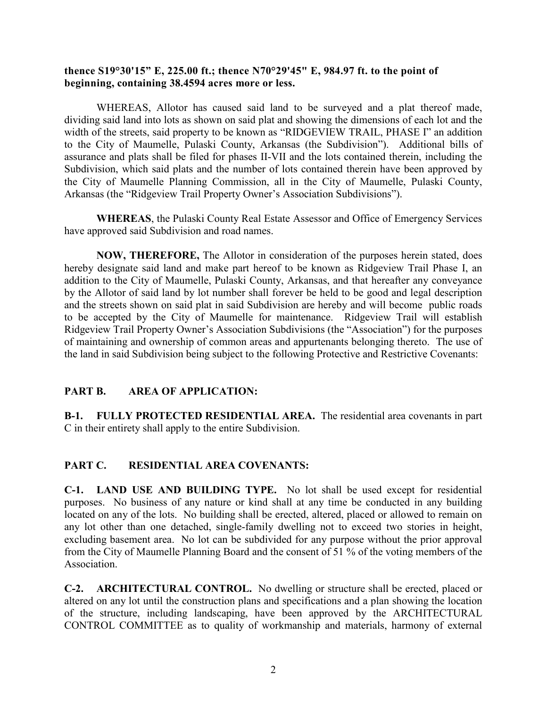## **thence S19°30'15" E, 225.00 ft.; thence N70°29'45" E, 984.97 ft. to the point of beginning, containing 38.4594 acres more or less.**

WHEREAS, Allotor has caused said land to be surveyed and a plat thereof made, dividing said land into lots as shown on said plat and showing the dimensions of each lot and the width of the streets, said property to be known as "RIDGEVIEW TRAIL, PHASE I" an addition to the City of Maumelle, Pulaski County, Arkansas (the Subdivision"). Additional bills of assurance and plats shall be filed for phases II-VII and the lots contained therein, including the Subdivision, which said plats and the number of lots contained therein have been approved by the City of Maumelle Planning Commission, all in the City of Maumelle, Pulaski County, Arkansas (the "Ridgeview Trail Property Owner's Association Subdivisions").

**WHEREAS**, the Pulaski County Real Estate Assessor and Office of Emergency Services have approved said Subdivision and road names.

**NOW, THEREFORE,** The Allotor in consideration of the purposes herein stated, does hereby designate said land and make part hereof to be known as Ridgeview Trail Phase I, an addition to the City of Maumelle, Pulaski County, Arkansas, and that hereafter any conveyance by the Allotor of said land by lot number shall forever be held to be good and legal description and the streets shown on said plat in said Subdivision are hereby and will become public roads to be accepted by the City of Maumelle for maintenance. Ridgeview Trail will establish Ridgeview Trail Property Owner's Association Subdivisions (the "Association") for the purposes of maintaining and ownership of common areas and appurtenants belonging thereto. The use of the land in said Subdivision being subject to the following Protective and Restrictive Covenants:

# **PART B. AREA OF APPLICATION:**

**B-1. FULLY PROTECTED RESIDENTIAL AREA.** The residential area covenants in part C in their entirety shall apply to the entire Subdivision.

# **PART C. RESIDENTIAL AREA COVENANTS:**

**C-1. LAND USE AND BUILDING TYPE.** No lot shall be used except for residential purposes. No business of any nature or kind shall at any time be conducted in any building located on any of the lots. No building shall be erected, altered, placed or allowed to remain on any lot other than one detached, single-family dwelling not to exceed two stories in height, excluding basement area. No lot can be subdivided for any purpose without the prior approval from the City of Maumelle Planning Board and the consent of 51 % of the voting members of the Association.

**C-2. ARCHITECTURAL CONTROL.** No dwelling or structure shall be erected, placed or altered on any lot until the construction plans and specifications and a plan showing the location of the structure, including landscaping, have been approved by the ARCHITECTURAL CONTROL COMMITTEE as to quality of workmanship and materials, harmony of external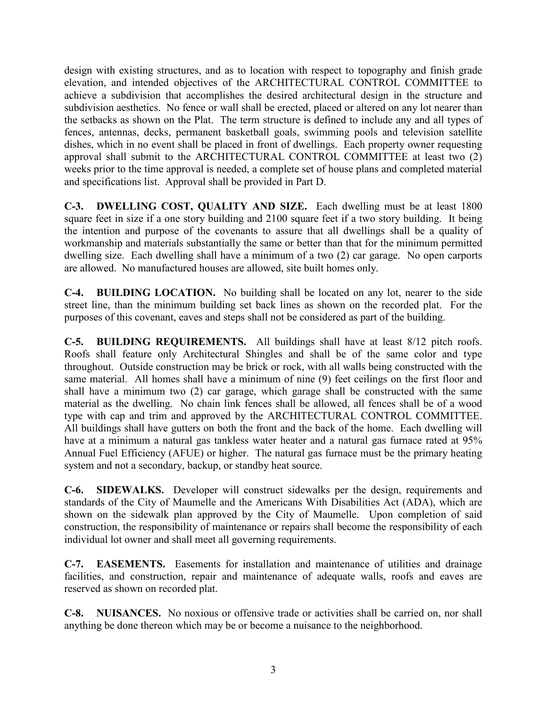design with existing structures, and as to location with respect to topography and finish grade elevation, and intended objectives of the ARCHITECTURAL CONTROL COMMITTEE to achieve a subdivision that accomplishes the desired architectural design in the structure and subdivision aesthetics. No fence or wall shall be erected, placed or altered on any lot nearer than the setbacks as shown on the Plat. The term structure is defined to include any and all types of fences, antennas, decks, permanent basketball goals, swimming pools and television satellite dishes, which in no event shall be placed in front of dwellings. Each property owner requesting approval shall submit to the ARCHITECTURAL CONTROL COMMITTEE at least two (2) weeks prior to the time approval is needed, a complete set of house plans and completed material and specifications list. Approval shall be provided in Part D.

**C-3. DWELLING COST, QUALITY AND SIZE.** Each dwelling must be at least 1800 square feet in size if a one story building and 2100 square feet if a two story building. It being the intention and purpose of the covenants to assure that all dwellings shall be a quality of workmanship and materials substantially the same or better than that for the minimum permitted dwelling size. Each dwelling shall have a minimum of a two (2) car garage. No open carports are allowed. No manufactured houses are allowed, site built homes only.

**C-4. BUILDING LOCATION.** No building shall be located on any lot, nearer to the side street line, than the minimum building set back lines as shown on the recorded plat. For the purposes of this covenant, eaves and steps shall not be considered as part of the building.

**C-5. BUILDING REQUIREMENTS.** All buildings shall have at least 8/12 pitch roofs. Roofs shall feature only Architectural Shingles and shall be of the same color and type throughout. Outside construction may be brick or rock, with all walls being constructed with the same material. All homes shall have a minimum of nine (9) feet ceilings on the first floor and shall have a minimum two (2) car garage, which garage shall be constructed with the same material as the dwelling. No chain link fences shall be allowed, all fences shall be of a wood type with cap and trim and approved by the ARCHITECTURAL CONTROL COMMITTEE. All buildings shall have gutters on both the front and the back of the home. Each dwelling will have at a minimum a natural gas tankless water heater and a natural gas furnace rated at 95% Annual Fuel Efficiency (AFUE) or higher. The natural gas furnace must be the primary heating system and not a secondary, backup, or standby heat source.

**C-6. SIDEWALKS.** Developer will construct sidewalks per the design, requirements and standards of the City of Maumelle and the Americans With Disabilities Act (ADA), which are shown on the sidewalk plan approved by the City of Maumelle. Upon completion of said construction, the responsibility of maintenance or repairs shall become the responsibility of each individual lot owner and shall meet all governing requirements.

**C-7. EASEMENTS.** Easements for installation and maintenance of utilities and drainage facilities, and construction, repair and maintenance of adequate walls, roofs and eaves are reserved as shown on recorded plat.

**C-8. NUISANCES.** No noxious or offensive trade or activities shall be carried on, nor shall anything be done thereon which may be or become a nuisance to the neighborhood.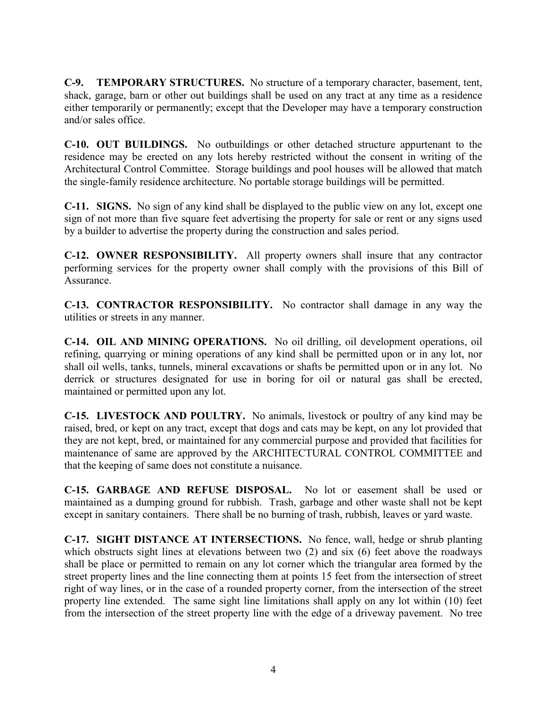**C-9. TEMPORARY STRUCTURES.** No structure of a temporary character, basement, tent, shack, garage, barn or other out buildings shall be used on any tract at any time as a residence either temporarily or permanently; except that the Developer may have a temporary construction and/or sales office.

**C-10. OUT BUILDINGS.** No outbuildings or other detached structure appurtenant to the residence may be erected on any lots hereby restricted without the consent in writing of the Architectural Control Committee. Storage buildings and pool houses will be allowed that match the single-family residence architecture. No portable storage buildings will be permitted.

**C-11. SIGNS.** No sign of any kind shall be displayed to the public view on any lot, except one sign of not more than five square feet advertising the property for sale or rent or any signs used by a builder to advertise the property during the construction and sales period.

**C-12. OWNER RESPONSIBILITY.** All property owners shall insure that any contractor performing services for the property owner shall comply with the provisions of this Bill of Assurance.

**C-13. CONTRACTOR RESPONSIBILITY.** No contractor shall damage in any way the utilities or streets in any manner.

**C-14. OIL AND MINING OPERATIONS.** No oil drilling, oil development operations, oil refining, quarrying or mining operations of any kind shall be permitted upon or in any lot, nor shall oil wells, tanks, tunnels, mineral excavations or shafts be permitted upon or in any lot. No derrick or structures designated for use in boring for oil or natural gas shall be erected, maintained or permitted upon any lot.

**C-15. LIVESTOCK AND POULTRY.** No animals, livestock or poultry of any kind may be raised, bred, or kept on any tract, except that dogs and cats may be kept, on any lot provided that they are not kept, bred, or maintained for any commercial purpose and provided that facilities for maintenance of same are approved by the ARCHITECTURAL CONTROL COMMITTEE and that the keeping of same does not constitute a nuisance.

**C-15. GARBAGE AND REFUSE DISPOSAL.** No lot or easement shall be used or maintained as a dumping ground for rubbish. Trash, garbage and other waste shall not be kept except in sanitary containers. There shall be no burning of trash, rubbish, leaves or yard waste.

**C-17. SIGHT DISTANCE AT INTERSECTIONS.** No fence, wall, hedge or shrub planting which obstructs sight lines at elevations between two (2) and six (6) feet above the roadways shall be place or permitted to remain on any lot corner which the triangular area formed by the street property lines and the line connecting them at points 15 feet from the intersection of street right of way lines, or in the case of a rounded property corner, from the intersection of the street property line extended. The same sight line limitations shall apply on any lot within (10) feet from the intersection of the street property line with the edge of a driveway pavement. No tree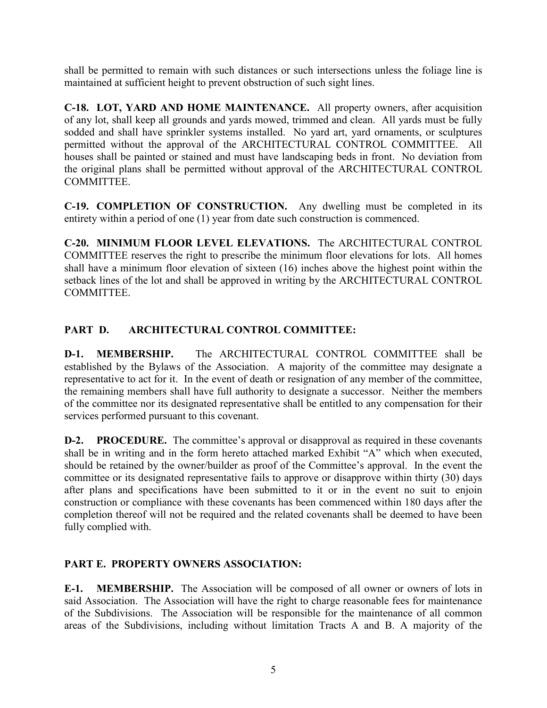shall be permitted to remain with such distances or such intersections unless the foliage line is maintained at sufficient height to prevent obstruction of such sight lines.

**C-18. LOT, YARD AND HOME MAINTENANCE.** All property owners, after acquisition of any lot, shall keep all grounds and yards mowed, trimmed and clean. All yards must be fully sodded and shall have sprinkler systems installed. No yard art, yard ornaments, or sculptures permitted without the approval of the ARCHITECTURAL CONTROL COMMITTEE. All houses shall be painted or stained and must have landscaping beds in front. No deviation from the original plans shall be permitted without approval of the ARCHITECTURAL CONTROL COMMITTEE.

**C-19. COMPLETION OF CONSTRUCTION.** Any dwelling must be completed in its entirety within a period of one (1) year from date such construction is commenced.

**C-20. MINIMUM FLOOR LEVEL ELEVATIONS.** The ARCHITECTURAL CONTROL COMMITTEE reserves the right to prescribe the minimum floor elevations for lots. All homes shall have a minimum floor elevation of sixteen (16) inches above the highest point within the setback lines of the lot and shall be approved in writing by the ARCHITECTURAL CONTROL COMMITTEE.

# **PART D. ARCHITECTURAL CONTROL COMMITTEE:**

**D-1. MEMBERSHIP.** The ARCHITECTURAL CONTROL COMMITTEE shall be established by the Bylaws of the Association. A majority of the committee may designate a representative to act for it. In the event of death or resignation of any member of the committee, the remaining members shall have full authority to designate a successor. Neither the members of the committee nor its designated representative shall be entitled to any compensation for their services performed pursuant to this covenant.

**D-2. PROCEDURE.** The committee's approval or disapproval as required in these covenants shall be in writing and in the form hereto attached marked Exhibit "A" which when executed, should be retained by the owner/builder as proof of the Committee's approval. In the event the committee or its designated representative fails to approve or disapprove within thirty (30) days after plans and specifications have been submitted to it or in the event no suit to enjoin construction or compliance with these covenants has been commenced within 180 days after the completion thereof will not be required and the related covenants shall be deemed to have been fully complied with.

# **PART E. PROPERTY OWNERS ASSOCIATION:**

**E-1. MEMBERSHIP.** The Association will be composed of all owner or owners of lots in said Association. The Association will have the right to charge reasonable fees for maintenance of the Subdivisions. The Association will be responsible for the maintenance of all common areas of the Subdivisions, including without limitation Tracts A and B. A majority of the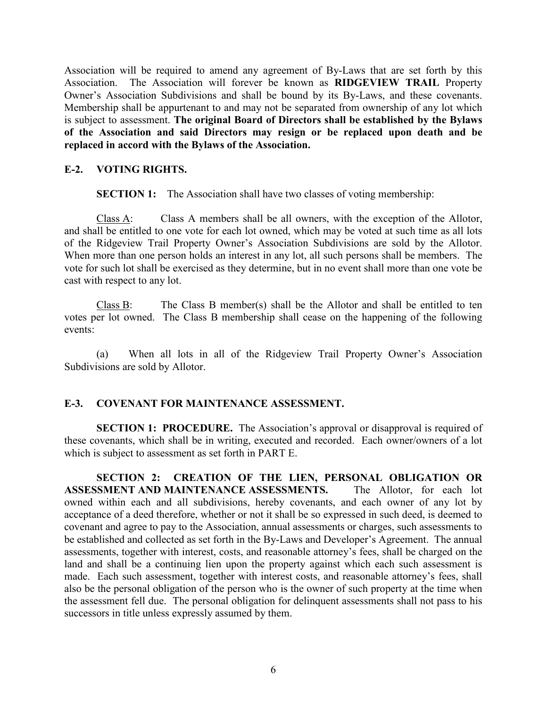Association will be required to amend any agreement of By-Laws that are set forth by this Association. The Association will forever be known as **RIDGEVIEW TRAIL** Property Owner's Association Subdivisions and shall be bound by its By-Laws, and these covenants. Membership shall be appurtenant to and may not be separated from ownership of any lot which is subject to assessment. **The original Board of Directors shall be established by the Bylaws of the Association and said Directors may resign or be replaced upon death and be replaced in accord with the Bylaws of the Association.**

## **E-2. VOTING RIGHTS.**

**SECTION 1:** The Association shall have two classes of voting membership:

Class A: Class A members shall be all owners, with the exception of the Allotor, and shall be entitled to one vote for each lot owned, which may be voted at such time as all lots of the Ridgeview Trail Property Owner's Association Subdivisions are sold by the Allotor. When more than one person holds an interest in any lot, all such persons shall be members. The vote for such lot shall be exercised as they determine, but in no event shall more than one vote be cast with respect to any lot.

Class B: The Class B member(s) shall be the Allotor and shall be entitled to ten votes per lot owned. The Class B membership shall cease on the happening of the following events:

(a) When all lots in all of the Ridgeview Trail Property Owner's Association Subdivisions are sold by Allotor.

### **E-3. COVENANT FOR MAINTENANCE ASSESSMENT.**

**SECTION 1: PROCEDURE.** The Association's approval or disapproval is required of these covenants, which shall be in writing, executed and recorded. Each owner/owners of a lot which is subject to assessment as set forth in PART E.

**SECTION 2: CREATION OF THE LIEN, PERSONAL OBLIGATION OR ASSESSMENT AND MAINTENANCE ASSESSMENTS.** The Allotor, for each lot owned within each and all subdivisions, hereby covenants, and each owner of any lot by acceptance of a deed therefore, whether or not it shall be so expressed in such deed, is deemed to covenant and agree to pay to the Association, annual assessments or charges, such assessments to be established and collected as set forth in the By-Laws and Developer's Agreement. The annual assessments, together with interest, costs, and reasonable attorney's fees, shall be charged on the land and shall be a continuing lien upon the property against which each such assessment is made. Each such assessment, together with interest costs, and reasonable attorney's fees, shall also be the personal obligation of the person who is the owner of such property at the time when the assessment fell due. The personal obligation for delinquent assessments shall not pass to his successors in title unless expressly assumed by them.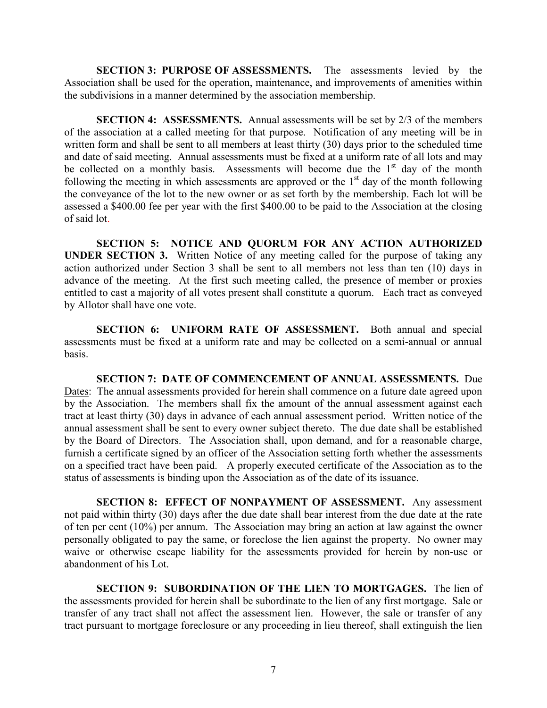**SECTION 3: PURPOSE OF ASSESSMENTS.** The assessments levied by the Association shall be used for the operation, maintenance, and improvements of amenities within the subdivisions in a manner determined by the association membership.

**SECTION 4: ASSESSMENTS.** Annual assessments will be set by 2/3 of the members of the association at a called meeting for that purpose. Notification of any meeting will be in written form and shall be sent to all members at least thirty (30) days prior to the scheduled time and date of said meeting. Annual assessments must be fixed at a uniform rate of all lots and may be collected on a monthly basis. Assessments will become due the  $1<sup>st</sup>$  day of the month following the meeting in which assessments are approved or the  $1<sup>st</sup>$  day of the month following the conveyance of the lot to the new owner or as set forth by the membership. Each lot will be assessed a \$400.00 fee per year with the first \$400.00 to be paid to the Association at the closing of said lot.

**SECTION 5: NOTICE AND QUORUM FOR ANY ACTION AUTHORIZED UNDER SECTION 3.** Written Notice of any meeting called for the purpose of taking any action authorized under Section 3 shall be sent to all members not less than ten (10) days in advance of the meeting. At the first such meeting called, the presence of member or proxies entitled to cast a majority of all votes present shall constitute a quorum. Each tract as conveyed by Allotor shall have one vote.

**SECTION 6: UNIFORM RATE OF ASSESSMENT.** Both annual and special assessments must be fixed at a uniform rate and may be collected on a semi-annual or annual basis.

**SECTION 7: DATE OF COMMENCEMENT OF ANNUAL ASSESSMENTS.** Due Dates: The annual assessments provided for herein shall commence on a future date agreed upon by the Association. The members shall fix the amount of the annual assessment against each tract at least thirty (30) days in advance of each annual assessment period. Written notice of the annual assessment shall be sent to every owner subject thereto. The due date shall be established by the Board of Directors. The Association shall, upon demand, and for a reasonable charge, furnish a certificate signed by an officer of the Association setting forth whether the assessments on a specified tract have been paid. A properly executed certificate of the Association as to the status of assessments is binding upon the Association as of the date of its issuance.

**SECTION 8: EFFECT OF NONPAYMENT OF ASSESSMENT.** Any assessment not paid within thirty (30) days after the due date shall bear interest from the due date at the rate of ten per cent (10%) per annum. The Association may bring an action at law against the owner personally obligated to pay the same, or foreclose the lien against the property. No owner may waive or otherwise escape liability for the assessments provided for herein by non-use or abandonment of his Lot.

**SECTION 9: SUBORDINATION OF THE LIEN TO MORTGAGES.** The lien of the assessments provided for herein shall be subordinate to the lien of any first mortgage. Sale or transfer of any tract shall not affect the assessment lien. However, the sale or transfer of any tract pursuant to mortgage foreclosure or any proceeding in lieu thereof, shall extinguish the lien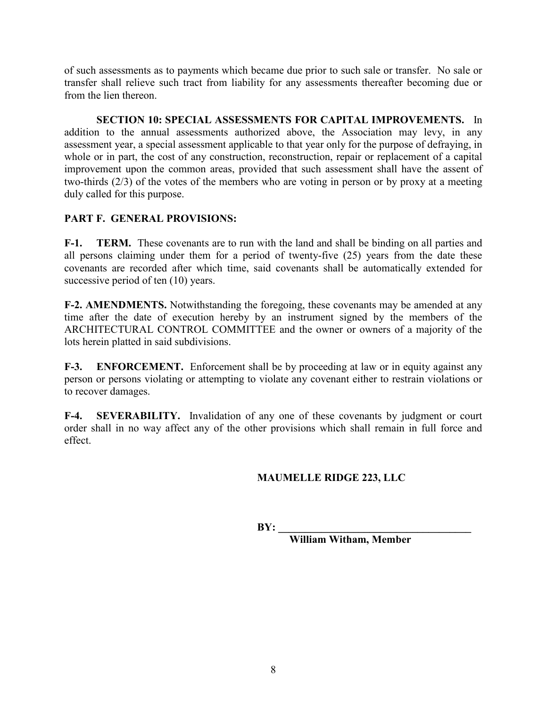of such assessments as to payments which became due prior to such sale or transfer. No sale or transfer shall relieve such tract from liability for any assessments thereafter becoming due or from the lien thereon.

**SECTION 10: SPECIAL ASSESSMENTS FOR CAPITAL IMPROVEMENTS.** In addition to the annual assessments authorized above, the Association may levy, in any assessment year, a special assessment applicable to that year only for the purpose of defraying, in whole or in part, the cost of any construction, reconstruction, repair or replacement of a capital improvement upon the common areas, provided that such assessment shall have the assent of two-thirds (2/3) of the votes of the members who are voting in person or by proxy at a meeting duly called for this purpose.

# **PART F. GENERAL PROVISIONS:**

**F-1. TERM.** These covenants are to run with the land and shall be binding on all parties and all persons claiming under them for a period of twenty-five (25) years from the date these covenants are recorded after which time, said covenants shall be automatically extended for successive period of ten  $(10)$  years.

**F-2. AMENDMENTS.** Notwithstanding the foregoing, these covenants may be amended at any time after the date of execution hereby by an instrument signed by the members of the ARCHITECTURAL CONTROL COMMITTEE and the owner or owners of a majority of the lots herein platted in said subdivisions.

**F-3. ENFORCEMENT.** Enforcement shall be by proceeding at law or in equity against any person or persons violating or attempting to violate any covenant either to restrain violations or to recover damages.

**F-4. SEVERABILITY.** Invalidation of any one of these covenants by judgment or court order shall in no way affect any of the other provisions which shall remain in full force and effect.

# **MAUMELLE RIDGE 223, LLC**

 $BY:$ 

**William Witham, Member**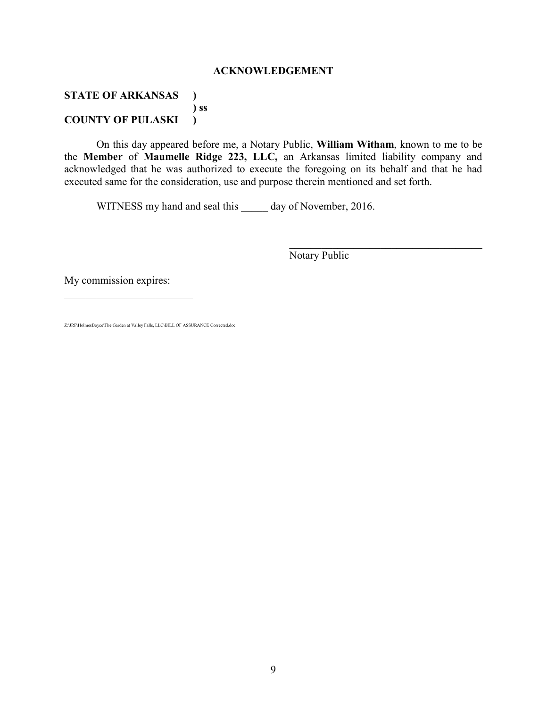#### **ACKNOWLEDGEMENT**

### **STATE OF ARKANSAS ) ) ss COUNTY OF PULASKI )**

On this day appeared before me, a Notary Public, **William Witham**, known to me to be the **Member** of **Maumelle Ridge 223, LLC,** an Arkansas limited liability company and acknowledged that he was authorized to execute the foregoing on its behalf and that he had executed same for the consideration, use and purpose therein mentioned and set forth.

WITNESS my hand and seal this day of November, 2016.

Notary Public

 $\mathcal{L}_\text{max}$  , and the set of the set of the set of the set of the set of the set of the set of the set of the set of the set of the set of the set of the set of the set of the set of the set of the set of the set of the

My commission expires:

 $\mathcal{L}_\text{max}$  , where  $\mathcal{L}_\text{max}$  , we have the set of  $\mathcal{L}_\text{max}$ 

Z:\JRP\HolmesBoyce\The Garden at Valley Falls, LLC\BILL OF ASSURANCE Corrected.doc